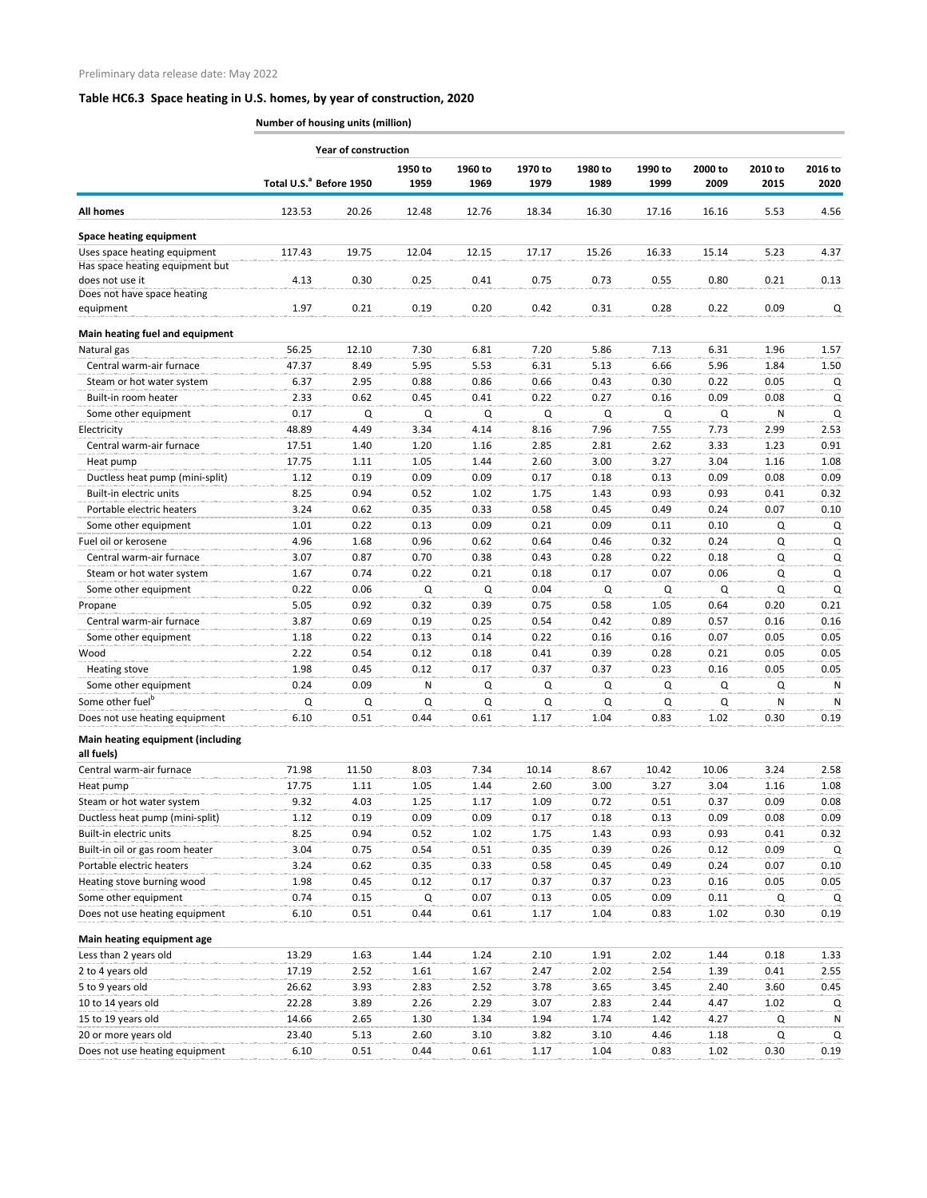**Number of housing units (million)**

|                                                        | <b>Year of construction</b>         |             |                 |                 |                 |                 |                 |                 |                 |                 |  |  |
|--------------------------------------------------------|-------------------------------------|-------------|-----------------|-----------------|-----------------|-----------------|-----------------|-----------------|-----------------|-----------------|--|--|
|                                                        | Total U.S. <sup>ª</sup> Before 1950 |             | 1950 to<br>1959 | 1960 to<br>1969 | 1970 to<br>1979 | 1980 to<br>1989 | 1990 to<br>1999 | 2000 to<br>2009 | 2010 to<br>2015 | 2016 to<br>2020 |  |  |
| <b>All homes</b>                                       | 123.53                              | 20.26       | 12.48           | 12.76           | 18.34           | 16.30           | 17.16           | 16.16           | 5.53            | 4.56            |  |  |
| <b>Space heating equipment</b>                         |                                     |             |                 |                 |                 |                 |                 |                 |                 |                 |  |  |
| Uses space heating equipment                           | 117.43                              | 19.75       | 12.04           | 12.15           | 17.17           | 15.26           | 16.33           | 15.14           | 5.23            | 4.37            |  |  |
| Has space heating equipment but                        |                                     |             |                 |                 |                 |                 |                 |                 |                 |                 |  |  |
| does not use it                                        | 4.13                                | 0.30        | 0.25            | 0.41            | 0.75            | 0.73            | 0.55            | 0.80            | 0.21            | 0.13            |  |  |
| Does not have space heating                            |                                     |             |                 |                 |                 |                 |                 |                 |                 |                 |  |  |
| equipment                                              | 1.97                                | 0.21        | 0.19            | 0.20            | 0.42            | 0.31            | 0.28            | 0.22            | 0.09            | Q               |  |  |
| Main heating fuel and equipment                        |                                     |             |                 |                 |                 |                 |                 |                 |                 |                 |  |  |
| Natural gas                                            | 56.25                               | 12.10       | 7.30            | 6.81            | 7.20            | 5.86            | 7.13            | 6.31            | 1.96            | 1.57            |  |  |
| Central warm-air furnace                               | 47.37                               | 8.49        | 5.95            | 5.53            | 6.31            | 5.13            | 6.66            | 5.96            | 1.84            | 1.50            |  |  |
| Steam or hot water system                              | 6.37                                | 2.95        | 0.88            | 0.86            | 0.66            | 0.43            | 0.30            | 0.22            | 0.05            | Q               |  |  |
| Built-in room heater                                   | 2.33                                | 0.62        | 0.45            | 0.41            | 0.22            | 0.27            | 0.16            | 0.09            | 0.08            | Q               |  |  |
| Some other equipment                                   | 0.17                                | Q           | Q               | Q               | Q               | Q               | Q               | Q               | N               | Q               |  |  |
| Electricity                                            | 48.89                               | 4.49        | 3.34            | 4.14            | 8.16            | 7.96            | 7.55            | 7.73            | 2.99            | 2.53            |  |  |
| Central warm-air furnace                               | 17.51                               | 1.40        | 1.20            | 1.16            | 2.85            | 2.81            | 2.62            | 3.33            | 1.23            | 0.91            |  |  |
| Heat pump                                              | 17.75                               | 1.11        | 1.05            | 1.44            | 2.60            | 3.00            | 3.27            | 3.04            | 1.16            | 1.08            |  |  |
| Ductless heat pump (mini-split)                        | 1.12                                | 0.19        | 0.09            | 0.09            | 0.17            | 0.18            | 0.13            | 0.09            | 0.08            | 0.09            |  |  |
| Built-in electric units                                | 8.25                                | 0.94        | 0.52            | 1.02            | 1.75            | 1.43            | 0.93            | 0.93            | 0.41            | 0.32            |  |  |
| Portable electric heaters                              | 3.24                                | 0.62        | 0.35            | 0.33            | 0.58            | 0.45            | 0.49            | 0.24            | 0.07            | 0.10            |  |  |
| Some other equipment                                   | 1.01                                | 0.22        | 0.13            | 0.09            | 0.21            | 0.09            | 0.11            | 0.10            | Q               | Q               |  |  |
| Fuel oil or kerosene                                   | 4.96                                | 1.68        | 0.96            | 0.62            | 0.64            | 0.46            | 0.32            | 0.24            | Q               | Q               |  |  |
| Central warm-air furnace                               | 3.07                                | 0.87        | 0.70            | 0.38            | 0.43            | 0.28            | 0.22            | 0.18            | Q               | Q               |  |  |
| Steam or hot water system                              | 1.67                                | 0.74        | 0.22            | 0.21            | 0.18            | 0.17            | 0.07            | 0.06            | Q               | Q               |  |  |
| Some other equipment                                   | 0.22                                | 0.06        | Q               | Q               | 0.04            | Q               | Q               | Q               | Q               | Q               |  |  |
| Propane                                                | 5.05                                | 0.92        | 0.32            | 0.39            | 0.75            | 0.58            | 1.05            | 0.64            | 0.20            | 0.21            |  |  |
| Central warm-air furnace                               | 3.87                                | 0.69        | 0.19            | 0.25            | 0.54            | 0.42            | 0.89            | 0.57            | 0.16            | 0.16            |  |  |
| Some other equipment                                   | 1.18                                | <b>U.ZZ</b> | 0.13            | 0.14            | 0.22            | 0.16            | 0.16            | 0.07            | 0.05            | 0.05            |  |  |
| Wood                                                   | 2.22                                | 0.54        | 0.12            | 0.18            | 0.41            | 0.39            | 0.28            | 0.21            | 0.05            | 0.05            |  |  |
| <b>Heating stove</b>                                   | 1.98                                | 0.45        | 0.12            | 0.17            | 0.37            | 0.37            | 0.23            | 0.16            | 0.05            | 0.05            |  |  |
| Some other equipment                                   | 0.24                                | 0.09        | N               | Q               | Q               | Q               | Q               | Q               | Q               | N               |  |  |
| Some other fuel <sup>b</sup>                           | Q                                   | Q           | Q               | Q               | Q               | Q               | Q               | Q               | N               | N               |  |  |
| Does not use heating equipment                         | 6.10                                | 0.51        | 0.44            | 0.61            | 1.17            | 1.04            | 0.83            | 1.02            | 0.30            | 0.19            |  |  |
| <b>Main heating equipment (including</b><br>all fuels) |                                     |             |                 |                 |                 |                 |                 |                 |                 |                 |  |  |
| Central warm-air furnace                               | 71.98                               | 11.50       | 8.03            | 7.34            | 10.14           | 8.67            | 10.42           | 10.06           | 3.24            | 2.58            |  |  |
|                                                        | 17.75                               | 1.11        | 1.05            | 1.44            | 2.60            | 3.00            | 3.27            | 3.04            |                 | 1.08            |  |  |
| Heat pump                                              | 9.32                                |             |                 |                 |                 |                 |                 |                 | 1.16            | 0.08            |  |  |
| Steam or hot water system                              |                                     | 4.03        | 1.25            | 1.17            | 1.09            | 0.72            | 0.51            | 0.37            | 0.09            |                 |  |  |
| Ductless heat pump (mini-split)                        | 1.12                                | 0.19        | 0.09            | 0.09            | 0.17            | 0.18            | 0.13            | 0.09            | 0.08            | 0.09            |  |  |
| Built-in electric units                                | 8.25                                | 0.94        | 0.52            | 1.02            | 1.75            | 1.43            | 0.93            | 0.93            | 0.41            | 0.32            |  |  |
| Built-in oil or gas room heater                        | 3.04                                | 0.75        | 0.54            | 0.51            | 0.35            | 0.39            | 0.26            | 0.12            | 0.09            | Q               |  |  |
| Portable electric heaters                              | 3.24                                | 0.62        | 0.35            | 0.33            | 0.58            | 0.45            | 0.49            | 0.24            | 0.07            | 0.10            |  |  |
| Heating stove burning wood                             | 1.98                                | 0.45        | 0.12            | 0.17            | 0.37            | 0.37            | 0.23            | 0.16            | 0.05            | 0.05            |  |  |
| Some other equipment                                   | 0.74                                | 0.15        | Q               | 0.07            | 0.13            | 0.05            | 0.09            | 0.11            | Q               | Q               |  |  |
| Does not use heating equipment                         | 6.10                                | 0.51        | 0.44            | 0.61            | 1.17            | 1.04            | 0.83            | 1.02            | 0.30            | 0.19            |  |  |
| Main heating equipment age                             |                                     |             |                 |                 |                 |                 |                 |                 |                 |                 |  |  |
| Less than 2 years old                                  | 13.29                               | 1.63        | 1.44            | 1.24            | 2.10            | 1.91            | 2.02            | 1.44            | 0.18            | 1.33            |  |  |
| 2 to 4 years old                                       | 17.19                               | 2.52        | 1.61            | 1.67            | 2.47            | 2.02            | 2.54            | 1.39            | 0.41            | 2.55            |  |  |
| 5 to 9 years old                                       | 26.62                               | 3.93        | 2.83            | 2.52            | 3.78            | 3.65            | 3.45            | 2.40            | 3.60            | 0.45            |  |  |
| 10 to 14 years old                                     | 22.28                               | 3.89        | 2.26            | 2.29            | 3.07            | 2.83            | 2.44            | 4.47            | 1.02            | Q               |  |  |
| 15 to 19 years old                                     | 14.66                               | 2.65        | 1.30            | 1.34            | 1.94            | 1.74            | 1.42            | 4.27            | Q               | N               |  |  |
| 20 or more years old                                   | 23.40                               | 5.13        | 2.60            | 3.10            | 3.82            | 3.10            | 4.46            | 1.18            | Q               | Q               |  |  |
| Does not use heating equipment                         | 6.10                                | 0.51        | 0.44            | 0.61            | 1.17            | 1.04            | 0.83            | 1.02            | 0.30            | 0.19            |  |  |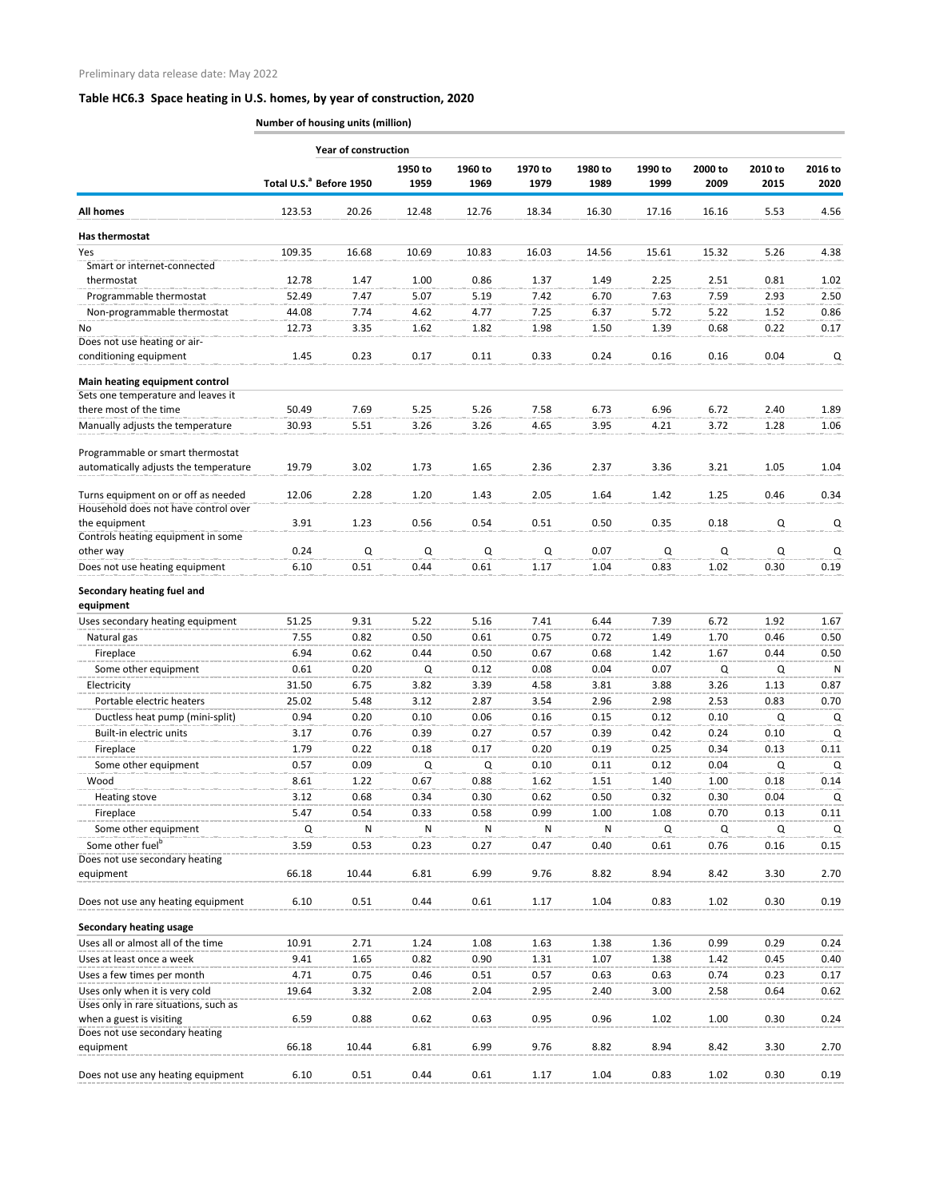**Number of housing units (million)**

|                                                                             | <b>Year of construction</b>         |       |                 |                 |                 |                 |                 |                 |                 |                 |  |  |
|-----------------------------------------------------------------------------|-------------------------------------|-------|-----------------|-----------------|-----------------|-----------------|-----------------|-----------------|-----------------|-----------------|--|--|
|                                                                             | Total U.S. <sup>ª</sup> Before 1950 |       | 1950 to<br>1959 | 1960 to<br>1969 | 1970 to<br>1979 | 1980 to<br>1989 | 1990 to<br>1999 | 2000 to<br>2009 | 2010 to<br>2015 | 2016 to<br>2020 |  |  |
| All homes                                                                   | 123.53                              | 20.26 | 12.48           | 12.76           | 18.34           | 16.30           | 17.16           | 16.16           | 5.53            | 4.56            |  |  |
| Has thermostat                                                              |                                     |       |                 |                 |                 |                 |                 |                 |                 |                 |  |  |
| Yes                                                                         | 109.35                              | 16.68 | 10.69           | 10.83           | 16.03           | 14.56           | 15.61           | 15.32           | 5.26            | 4.38            |  |  |
| Smart or internet-connected                                                 |                                     |       |                 |                 |                 |                 |                 |                 |                 |                 |  |  |
| thermostat                                                                  | 12.78                               | 1.47  | 1.00            | 0.86            | 1.37            | 1.49            | 2.25            | 2.51            | 0.81            | 1.02            |  |  |
| Programmable thermostat                                                     | 52.49                               | 7.47  | 5.07            | 5.19            | 7.42            | 6.70            | 7.63            | 7.59            | 2.93            | 2.50            |  |  |
| Non-programmable thermostat                                                 | 44.08                               | 7.74  | 4.62            | 4.77            | 7.25            | 6.37            | 5.72            | 5.22            | 1.52            | 0.86            |  |  |
| No.                                                                         | 12.73                               | 3.35  | 1.62            | 1.82            | 1.98            | 1.50            | 1.39            | 0.68            | 0.22            | 0.17            |  |  |
| Does not use heating or air-<br>conditioning equipment                      | 1.45                                | 0.23  | 0.17            | 0.11            | 0.33            | 0.24            | 0.16            | 0.16            | 0.04            | Q               |  |  |
| Main heating equipment control                                              |                                     |       |                 |                 |                 |                 |                 |                 |                 |                 |  |  |
| Sets one temperature and leaves it                                          |                                     |       |                 |                 |                 |                 |                 |                 |                 |                 |  |  |
| there most of the time                                                      | 50.49                               | 7.69  | 5.25            | 5.26            | 7.58            | 6.73            | 6.96            | 6.72            | 2.40            | 1.89            |  |  |
| Manually adjusts the temperature                                            | 30.93                               | 5.51  | 3.26            | 3.26            | 4.65            | 3.95            | 4.21            | 3.72            | 1.28            | 1.06            |  |  |
| Programmable or smart thermostat                                            |                                     |       |                 |                 |                 |                 |                 |                 |                 |                 |  |  |
| automatically adjusts the temperature                                       | 19.79                               | 3.02  | 1.73            | 1.65            | 2.36            | 2.37            | 3.36            | 3.21            | 1.05            | 1.04            |  |  |
| Turns equipment on or off as needed<br>Household does not have control over | 12.06                               | 2.28  | 1.20            | 1.43            | 2.05            | 1.64            | 1.42            | 1.25            | 0.46            | 0.34            |  |  |
| the equipment                                                               | 3.91                                | 1.23  | 0.56            | 0.54            | 0.51            | 0.50            | 0.35            | 0.18            | Q               | Q               |  |  |
| Controls heating equipment in some                                          |                                     |       |                 |                 |                 |                 |                 |                 |                 |                 |  |  |
| other way                                                                   | 0.24                                | Q     | Q               | Q               | Q               | 0.07            | Q               | Q               | Q               | Q               |  |  |
| Does not use heating equipment                                              | 6.10                                | 0.51  | 0.44            | 0.61            | 1.17            | 1.04            | 0.83            | 1.02            | 0.30            | 0.19            |  |  |
| Secondary heating fuel and<br>equipment                                     |                                     |       |                 |                 |                 |                 |                 |                 |                 |                 |  |  |
| Uses secondary heating equipment                                            | 51.25                               | 9.31  | 5.22            | 5.16            | 7.41            | 6.44            | 7.39            | 6.72            | 1.92            | 1.67            |  |  |
| Natural gas                                                                 | 7.55                                | 0.82  | 0.50            | 0.61            | 0.75            | 0.72            | 1.49            | 1.70            | 0.46            | 0.50            |  |  |
| Fireplace                                                                   | 6.94                                | 0.62  | 0.44            | 0.50            | 0.67            | 0.68            | 1.42            | 1.67            | 0.44            | 0.50            |  |  |
| Some other equipment                                                        | 0.61                                | 0.20  | Q               | 0.12            | 0.08            | 0.04            | 0.07            | Q               | Q               | N               |  |  |
| Electricity                                                                 | 31.50                               | 6.75  | 3.82            | 3.39            | 4.58            | 3.81            | 3.88            | 3.26            | 1.13            | 0.87            |  |  |
| Portable electric heaters                                                   | 25.02                               | 5.48  | 3.12            | 2.87            | 3.54            | 2.96            | 2.98            | 2.53            | 0.83            | 0.70            |  |  |
| Ductless heat pump (mini-split)                                             | 0.94                                | 0.20  | 0.10            | 0.06            | 0.16            | 0.15            | 0.12            | 0.10            | Q               | Q               |  |  |
| Built-in electric units                                                     | 3.17                                | 0.76  | 0.39            | 0.27            | 0.57            | 0.39            | 0.42            | 0.24            | 0.10            | Q               |  |  |
| Fireplace                                                                   | 1.79                                | 0.22  | 0.18            | 0.17            | 0.20            | 0.19            | 0.25            | 0.34            | 0.13            | 0.11            |  |  |
| Some other equipment                                                        | 0.57                                | 0.09  | Q               | Q               | 0.10            | 0.11            | 0.12            | 0.04            | Q               | Q               |  |  |
| Wood                                                                        | 8.61                                | 1.22  | 0.67            | 0.88            | 1.62            | 1.51            | 1.40            | 1.00            | 0.18            | 0.14            |  |  |
| Heating stove                                                               | 3.12                                | 0.68  | 0.34            | 0.30            | 0.62            | 0.50            | 0.32            | 0.30            | 0.04            | Q               |  |  |
| Fireplace                                                                   | 5.47                                | 0.54  | 0.33            | 0.58            | 0.99            | 1.00            | 1.08            | 0.70            | 0.13            | 0.11            |  |  |
| Some other equipment                                                        | Q                                   | N     | N               | N               | N               | N               | Q               | Q               | Q               | Q               |  |  |
| Some other fuel <sup>b</sup>                                                | 3.59                                | 0.53  | 0.23            | 0.27            | 0.47            | 0.40            | 0.61            | 0.76            | 0.16            | 0.15            |  |  |
| Does not use secondary heating                                              |                                     |       |                 |                 |                 |                 |                 |                 |                 |                 |  |  |
| equipment                                                                   | 66.18                               | 10.44 | 6.81            | 6.99            | 9.76            | 8.82            | 8.94            | 8.42            | 3.30            | 2.70            |  |  |
| Does not use any heating equipment                                          | 6.10                                | 0.51  | 0.44            | 0.61            | 1.17            | 1.04            | 0.83            | 1.02            | 0.30            | 0.19            |  |  |
| <b>Secondary heating usage</b>                                              |                                     |       |                 |                 |                 |                 |                 |                 |                 |                 |  |  |
| Uses all or almost all of the time                                          | 10.91                               | 2.71  | 1.24            | 1.08            | 1.63            | 1.38            | 1.36            | 0.99            | 0.29            | 0.24            |  |  |
| Uses at least once a week                                                   | 9.41                                | 1.65  | 0.82            | 0.90            | 1.31            | 1.07            | 1.38            | 1.42            | 0.45            | 0.40            |  |  |
| Uses a few times per month                                                  | 4.71                                | 0.75  | 0.46            | 0.51            | 0.57            | 0.63            | 0.63            | 0.74            | 0.23            | 0.17            |  |  |
| Uses only when it is very cold<br>Uses only in rare situations, such as     | 19.64                               | 3.32  | 2.08            | 2.04            | 2.95            | 2.40            | 3.00            | 2.58            | 0.64            | 0.62            |  |  |
| when a guest is visiting<br>Does not use secondary heating                  | 6.59                                | 0.88  | 0.62            | 0.63            | 0.95            | 0.96            | 1.02            | 1.00            | 0.30            | 0.24            |  |  |
| equipment                                                                   | 66.18                               | 10.44 | 6.81            | 6.99            | 9.76            | 8.82            | 8.94            | 8.42            | 3.30            | 2.70            |  |  |
| Does not use any heating equipment                                          | 6.10                                | 0.51  | 0.44            | 0.61            | 1.17            | 1.04            | 0.83            | 1.02            | 0.30            | 0.19            |  |  |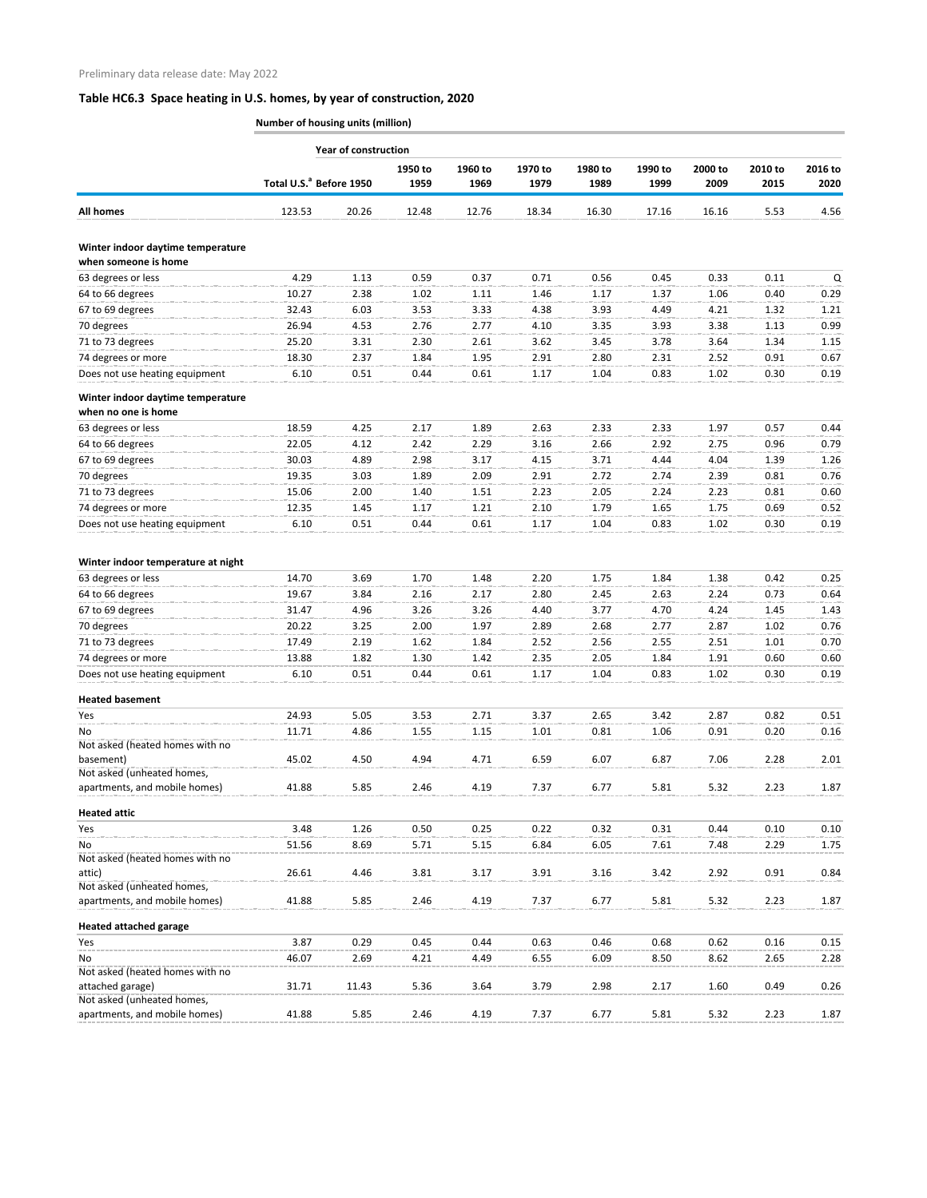**Number of housing units (million)**

|                                                             | <b>Year of construction</b>         |       |                 |                 |                 |                 |                 |                 |                 |                 |  |  |
|-------------------------------------------------------------|-------------------------------------|-------|-----------------|-----------------|-----------------|-----------------|-----------------|-----------------|-----------------|-----------------|--|--|
|                                                             | Total U.S. <sup>ª</sup> Before 1950 |       | 1950 to<br>1959 | 1960 to<br>1969 | 1970 to<br>1979 | 1980 to<br>1989 | 1990 to<br>1999 | 2000 to<br>2009 | 2010 to<br>2015 | 2016 to<br>2020 |  |  |
| All homes                                                   | 123.53                              | 20.26 | 12.48           | 12.76           | 18.34           | 16.30           | 17.16           | 16.16           | 5.53            | 4.56            |  |  |
| Winter indoor daytime temperature                           |                                     |       |                 |                 |                 |                 |                 |                 |                 |                 |  |  |
| when someone is home                                        |                                     |       |                 |                 |                 |                 |                 |                 |                 |                 |  |  |
| 63 degrees or less                                          | 4.29                                | 1.13  | 0.59            | 0.37            | 0.71            | 0.56            | 0.45            | 0.33            | 0.11            | Q               |  |  |
| 64 to 66 degrees                                            | 10.27                               | 2.38  | 1.02            | 1.11            | 1.46            | 1.17            | 1.37            | 1.06            | 0.40            | 0.29            |  |  |
| 67 to 69 degrees                                            | 32.43                               | 6.03  | 3.53            | 3.33            | 4.38            | 3.93            | 4.49            | 4.21            | 1.32            | 1.21            |  |  |
| 70 degrees                                                  | 26.94                               | 4.53  | 2.76            | 2.77            | 4.10            | 3.35            | 3.93            | 3.38            | 1.13            | 0.99            |  |  |
| 71 to 73 degrees                                            | 25.20                               | 3.31  | 2.30            | 2.61            | 3.62            | 3.45            | 3.78            | 3.64            | 1.34            | 1.15            |  |  |
| 74 degrees or more                                          | 18.30                               | 2.37  | 1.84            | 1.95            | 2.91            | 2.80            | 2.31            | 2.52            | 0.91            | 0.67            |  |  |
| Does not use heating equipment                              | 6.10                                | 0.51  | 0.44            | 0.61            | 1.17            | 1.04            | 0.83            | 1.02            | 0.30            | 0.19            |  |  |
| Winter indoor daytime temperature<br>when no one is home    |                                     |       |                 |                 |                 |                 |                 |                 |                 |                 |  |  |
| 63 degrees or less                                          | 18.59                               | 4.25  | 2.17            | 1.89            | 2.63            | 2.33            | 2.33            | 1.97            | 0.57            | 0.44            |  |  |
| 64 to 66 degrees                                            | 22.05                               | 4.12  | 2.42            | 2.29            | 3.16            | 2.66            | 2.92            | 2.75            | 0.96            | 0.79            |  |  |
| 67 to 69 degrees                                            | 30.03                               | 4.89  | 2.98            | 3.17            | 4.15            | 3.71            | 4.44            | 4.04            | 1.39            | 1.26            |  |  |
| 70 degrees                                                  | 19.35                               | 3.03  | 1.89            | 2.09            | 2.91            | 2.72            | 2.74            | 2.39            | 0.81            | 0.76            |  |  |
| 71 to 73 degrees                                            | 15.06                               | 2.00  | 1.40            | 1.51            | 2.23            | 2.05            | 2.24            | 2.23            | 0.81            | 0.60            |  |  |
| 74 degrees or more                                          | 12.35                               | 1.45  | 1.17            | 1.21            | 2.10            | 1.79            | 1.65            | 1.75            | 0.69            | 0.52            |  |  |
| Does not use heating equipment                              | 6.10                                | 0.51  | 0.44            | 0.61            | 1.17            | 1.04            | 0.83            | 1.02            | 0.30            | 0.19            |  |  |
| Winter indoor temperature at night                          |                                     |       |                 |                 |                 |                 |                 |                 |                 |                 |  |  |
| 63 degrees or less                                          | 14.70                               | 3.69  | 1.70            | 1.48            | 2.20            | 1.75            | 1.84            | 1.38            | 0.42            | 0.25            |  |  |
| 64 to 66 degrees                                            | 19.67                               | 3.84  | 2.16            | 2.17            | 2.80            | 2.45            | 2.63            | 2.24            | 0.73            | 0.64            |  |  |
| 67 to 69 degrees                                            | 31.47                               | 4.96  | 3.26            | 3.26            | 4.40            | 3.77            | 4.70            | 4.24            | 1.45            | 1.43            |  |  |
| 70 degrees                                                  | 20.22                               | 3.25  | 2.00            | 1.97            | 2.89            | 2.68            | 2.77            | 2.87            | 1.02            | 0.76            |  |  |
| 71 to 73 degrees                                            | 17.49                               | 2.19  | 1.62            | 1.84            | 2.52            | 2.56            | 2.55            | 2.51            | 1.01            | 0.70            |  |  |
| 74 degrees or more                                          | 13.88                               | 1.82  | 1.30            | 1.42            | 2.35            | 2.05            | 1.84            | 1.91            | 0.60            | 0.60            |  |  |
| Does not use heating equipment                              | 6.10                                | 0.51  | 0.44            | 0.61            | 1.17            | 1.04            | 0.83            | 1.02            | 0.30            | 0.19            |  |  |
| <b>Heated basement</b>                                      |                                     |       |                 |                 |                 |                 |                 |                 |                 |                 |  |  |
| Yes                                                         | 24.93                               | 5.05  | 3.53            | 2.71            | 3.37            | 2.65            | 3.42            | 2.87            | 0.82            | 0.51            |  |  |
| No                                                          | 11.71                               | 4.86  | 1.55            | 1.15            | 1.01            | 0.81            | 1.06            | 0.91            | 0.20            | 0.16            |  |  |
| Not asked (heated homes with no                             |                                     |       |                 |                 |                 |                 |                 |                 |                 |                 |  |  |
| basement)<br>Not asked (unheated homes,                     | 45.02                               | 4.50  | 4.94            | 4.71            | 6.59            | 6.07            | 6.87            | 7.06            | 2.28            | 2.01            |  |  |
| apartments, and mobile homes)                               | 41.88                               | 5.85  | 2.46            | 4.19            | 7.37            | 6.77            | 5.81            | 5.32            | 2.23            | 1.87            |  |  |
| <b>Heated attic</b>                                         |                                     |       |                 |                 |                 |                 |                 |                 |                 |                 |  |  |
| Yes                                                         | 3.48                                | 1.26  | 0.50            | 0.25            | 0.22            | 0.32            | 0.31            | 0.44            | 0.10            | 0.10            |  |  |
| No                                                          | 51.56                               | 8.69  | 5.71            | 5.15            | 6.84            | 6.05            | 7.61            | 7.48            | 2.29            | 1.75            |  |  |
| Not asked (heated homes with no                             |                                     |       |                 |                 |                 |                 |                 |                 |                 |                 |  |  |
| attic)                                                      | 26.61                               | 4.46  | 3.81            | 3.17            | 3.91            | 3.16            | 3.42            | 2.92            | 0.91            | 0.84            |  |  |
| Not asked (unheated homes,<br>apartments, and mobile homes) | 41.88                               | 5.85  | 2.46            | 4.19            | 7.37            | 6.77            | 5.81            | 5.32            | 2.23            | 1.87            |  |  |
| <b>Heated attached garage</b>                               |                                     |       |                 |                 |                 |                 |                 |                 |                 |                 |  |  |
| Yes                                                         | 3.87                                | 0.29  | 0.45            | 0.44            | 0.63            | 0.46            | 0.68            | 0.62            | 0.16            | 0.15            |  |  |
| No                                                          | 46.07                               | 2.69  | 4.21            | 4.49            | 6.55            | 6.09            | 8.50            | 8.62            | 2.65            | 2.28            |  |  |
| Not asked (heated homes with no<br>attached garage)         | 31.71                               | 11.43 | 5.36            | 3.64            | 3.79            | 2.98            | 2.17            | 1.60            | 0.49            | 0.26            |  |  |
| Not asked (unheated homes,                                  |                                     |       |                 |                 |                 |                 |                 |                 |                 |                 |  |  |
| apartments, and mobile homes)                               | 41.88                               | 5.85  | 2.46            | 4.19            | 7.37            | 6.77            | 5.81            | 5.32            | 2.23            | 1.87            |  |  |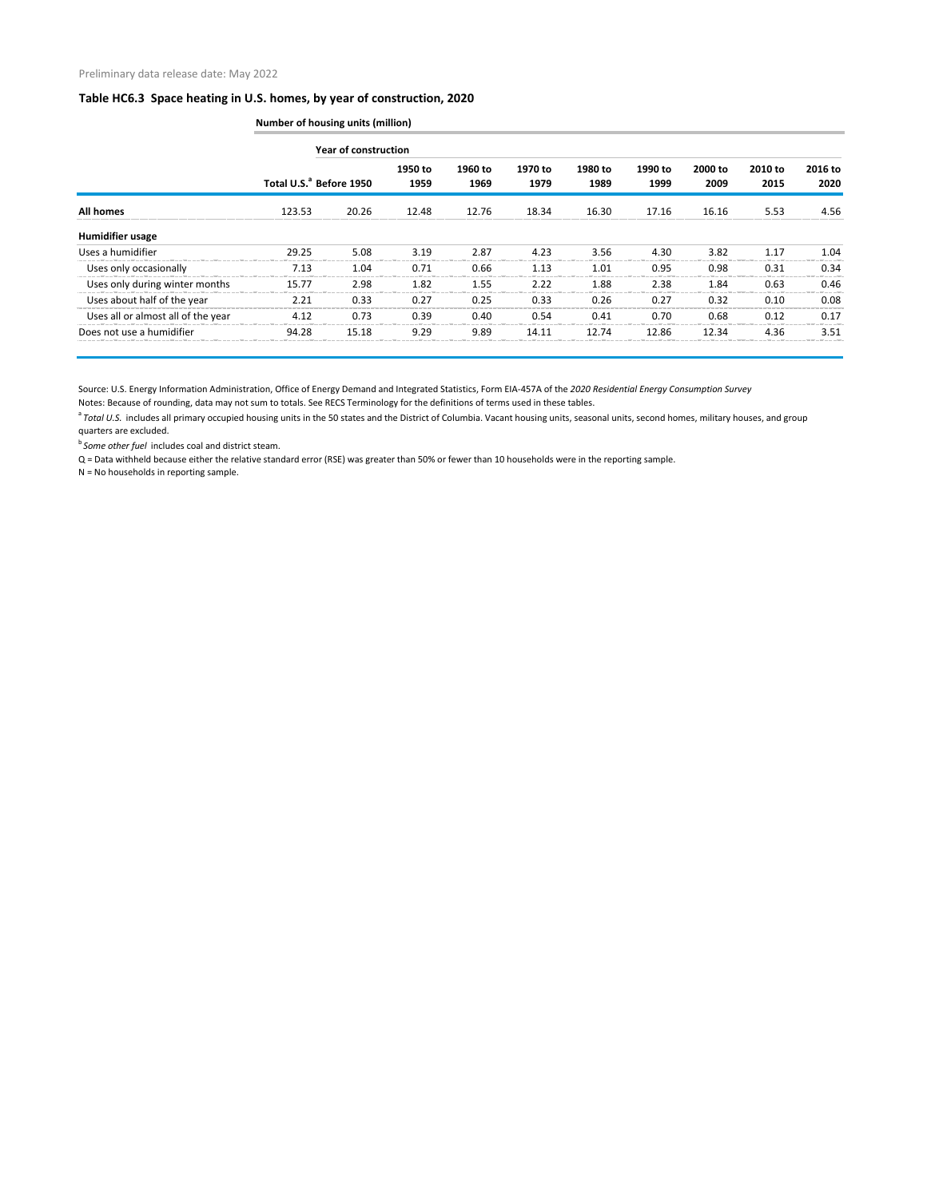|                                    |        | <b>Number of housing units (million)</b> |                 |                 |                 |                 |                 |                 |                 |                 |  |  |  |  |
|------------------------------------|--------|------------------------------------------|-----------------|-----------------|-----------------|-----------------|-----------------|-----------------|-----------------|-----------------|--|--|--|--|
|                                    |        | <b>Year of construction</b>              |                 |                 |                 |                 |                 |                 |                 |                 |  |  |  |  |
|                                    |        | Total U.S. <sup>ª</sup> Before 1950      | 1950 to<br>1959 | 1960 to<br>1969 | 1970 to<br>1979 | 1980 to<br>1989 | 1990 to<br>1999 | 2000 to<br>2009 | 2010 to<br>2015 | 2016 to<br>2020 |  |  |  |  |
| <b>All homes</b>                   | 123.53 | 20.26                                    | 12.48           | 12.76           | 18.34           | 16.30           | 17.16           | 16.16           | 5.53            | 4.56            |  |  |  |  |
| <b>Humidifier usage</b>            |        |                                          |                 |                 |                 |                 |                 |                 |                 |                 |  |  |  |  |
| Uses a humidifier                  | 29.25  | 5.08                                     | 3.19            | 2.87            | 4.23            | 3.56            | 4.30            | 3.82            | 1.17            | 1.04            |  |  |  |  |
| Uses only occasionally             | 7.13   | 1.04                                     | 0.71            | 0.66            | 1.13            | 1.01            | 0.95            | 0.98            | 0.31            | 0.34            |  |  |  |  |
| Uses only during winter months     | 15.77  | 2.98                                     | 1.82            | 1.55            | 2.22            | 1.88            | 2.38            | 1.84            | 0.63            | 0.46            |  |  |  |  |
| Uses about half of the year        | 2.21   | 0.33                                     | 0.27            | 0.25            | 0.33            | 0.26            | 0.27            | 0.32            | 0.10            | 0.08            |  |  |  |  |
| Uses all or almost all of the year | 4.12   | 0.73                                     | 0.39            | 0.40            | 0.54            | 0.41            | 0.70            | 0.68            | 0.12            | 0.17            |  |  |  |  |
| Does not use a humidifier          | 94.28  | 15.18                                    | 9.29            | 9.89            | 14.11           | 12.74           | 12.86           | 12.34           | 4.36            | 3.51            |  |  |  |  |

Source: U.S. Energy Information Administration, Office of Energy Demand and Integrated Statistics, Form EIA-457A of the *2020 Residential Energy Consumption Survey*

Notes: Because of rounding, data may not sum to totals. See RECS Terminology for the definitions of terms used in these tables.

<sup>a</sup> Total U.S. includes all primary occupied housing units in the 50 states and the District of Columbia. Vacant housing units, seasonal units, second homes, military houses, and group quarters are excluded.

**b** Some other fuel includes coal and district steam.

Q = Data withheld because either the relative standard error (RSE) was greater than 50% or fewer than 10 households were in the reporting sample.

N = No households in reporting sample.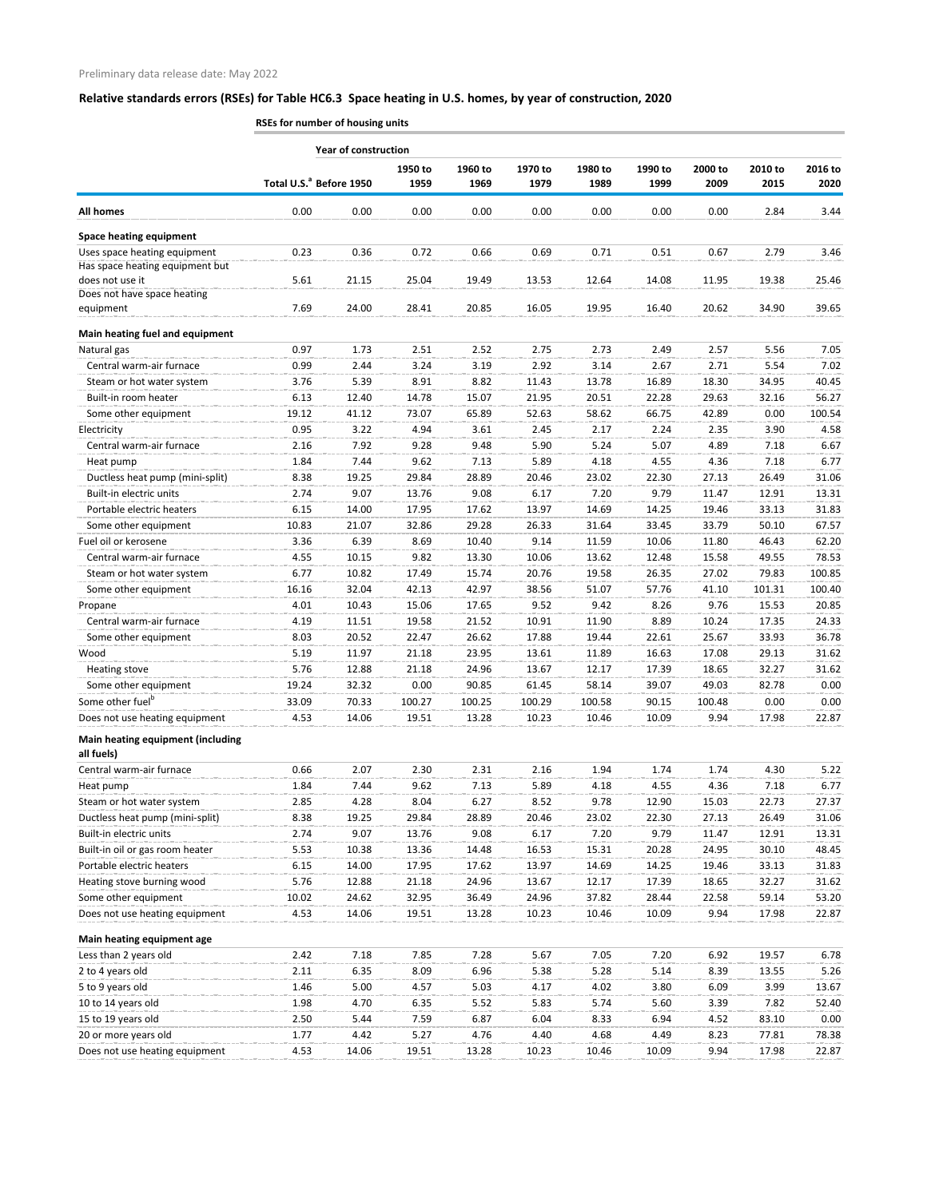**RSEs for number of housing units**

|                                                 |                                     |       |                 |                 |                 | Year of construction |                 |                 |                 |                 |  |  |  |  |  |  |  |  |
|-------------------------------------------------|-------------------------------------|-------|-----------------|-----------------|-----------------|----------------------|-----------------|-----------------|-----------------|-----------------|--|--|--|--|--|--|--|--|
|                                                 | Total U.S. <sup>a</sup> Before 1950 |       | 1950 to<br>1959 | 1960 to<br>1969 | 1970 to<br>1979 | 1980 to<br>1989      | 1990 to<br>1999 | 2000 to<br>2009 | 2010 to<br>2015 | 2016 to<br>2020 |  |  |  |  |  |  |  |  |
| <b>All homes</b>                                | 0.00                                | 0.00  | 0.00            | 0.00            | 0.00            | 0.00                 | 0.00            | 0.00            | 2.84            | 3.44            |  |  |  |  |  |  |  |  |
| <b>Space heating equipment</b>                  |                                     |       |                 |                 |                 |                      |                 |                 |                 |                 |  |  |  |  |  |  |  |  |
| Uses space heating equipment                    | 0.23                                | 0.36  | 0.72            | 0.66            | 0.69            | 0.71                 | 0.51            | 0.67            | 2.79            | 3.46            |  |  |  |  |  |  |  |  |
| Has space heating equipment but                 |                                     |       |                 |                 |                 |                      |                 |                 |                 |                 |  |  |  |  |  |  |  |  |
| does not use it                                 | 5.61                                | 21.15 | 25.04           | 19.49           | 13.53           | 12.64                | 14.08           | 11.95           | 19.38           | 25.46           |  |  |  |  |  |  |  |  |
| Does not have space heating                     |                                     |       |                 |                 |                 |                      |                 |                 |                 |                 |  |  |  |  |  |  |  |  |
| equipment                                       | 7.69                                | 24.00 | 28.41           | 20.85           | 16.05           | 19.95                | 16.40           | 20.62           | 34.90           | 39.65           |  |  |  |  |  |  |  |  |
| Main heating fuel and equipment                 |                                     |       |                 |                 |                 |                      |                 |                 |                 |                 |  |  |  |  |  |  |  |  |
| Natural gas                                     | 0.97                                | 1.73  | 2.51            | 2.52            | 2.75            | 2.73                 | 2.49            | 2.57            | 5.56            | 7.05            |  |  |  |  |  |  |  |  |
| Central warm-air furnace                        | 0.99                                | 2.44  | 3.24            | 3.19            | 2.92            | 3.14                 | 2.67            | 2.71            | 5.54            | 7.02            |  |  |  |  |  |  |  |  |
| Steam or hot water system                       | 3.76                                | 5.39  | 8.91            | 8.82            | 11.43           | 13.78                | 16.89           | 18.30           | 34.95           | 40.45           |  |  |  |  |  |  |  |  |
| Built-in room heater                            | 6.13                                | 12.40 | 14.78           | 15.07           | 21.95           | 20.51                | 22.28           | 29.63           | 32.16           | 56.27           |  |  |  |  |  |  |  |  |
| Some other equipment                            | 19.12                               | 41.12 | 73.07           | 65.89           | 52.63           | 58.62                | 66.75           | 42.89           | 0.00            | 100.54          |  |  |  |  |  |  |  |  |
| Electricity                                     | 0.95                                | 3.22  | 4.94            | 3.61            | 2.45            | 2.17                 | 2.24            | 2.35            | 3.90            | 4.58            |  |  |  |  |  |  |  |  |
| Central warm-air furnace                        | 2.16                                | 7.92  | 9.28            | 9.48            | 5.90            | 5.24                 | 5.07            | 4.89            | 7.18            | 6.67            |  |  |  |  |  |  |  |  |
| Heat pump                                       | 1.84                                | 7.44  | 9.62            | 7.13            | 5.89            | 4.18                 | 4.55            | 4.36            | 7.18            | 6.77            |  |  |  |  |  |  |  |  |
| Ductless heat pump (mini-split)                 | 8.38                                | 19.25 | 29.84           | 28.89           | 20.46           | 23.02                | 22.30           | 27.13           | 26.49           | 31.06           |  |  |  |  |  |  |  |  |
| Built-in electric units                         | 2.74                                | 9.07  | 13.76           | 9.08            | 6.17            | 7.20                 | 9.79            | 11.47           | 12.91           | 13.31           |  |  |  |  |  |  |  |  |
| Portable electric heaters                       | 6.15                                | 14.00 | 17.95           | 17.62           | 13.97           | 14.69                | 14.25           | 19.46           | 33.13           | 31.83           |  |  |  |  |  |  |  |  |
| Some other equipment                            | 10.83                               | 21.07 | 32.86           | 29.28           | 26.33           | 31.64                | 33.45           | 33.79           | 50.10           | 67.57           |  |  |  |  |  |  |  |  |
| Fuel oil or kerosene                            | 3.36                                | 6.39  | 8.69            | 10.40           | 9.14            | 11.59                | 10.06           | 11.80           | 46.43           | 62.20           |  |  |  |  |  |  |  |  |
| Central warm-air furnace                        | 4.55                                | 10.15 | 9.82            | 13.30           | 10.06           | 13.62                | 12.48           | 15.58           | 49.55           | 78.53           |  |  |  |  |  |  |  |  |
| Steam or hot water system                       | 6.77                                | 10.82 | 17.49           | 15.74           | 20.76           | 19.58                | 26.35           | 27.02           | 79.83           | 100.85          |  |  |  |  |  |  |  |  |
| Some other equipment                            | 16.16                               | 32.04 | 42.13           | 42.97           | 38.56           | 51.07                | 57.76           | 41.10           | 101.31          | 100.40          |  |  |  |  |  |  |  |  |
| Propane                                         | 4.01                                | 10.43 | 15.06           | 17.65           | 9.52            | 9.42                 | 8.26            | 9.76            | 15.53           | 20.85           |  |  |  |  |  |  |  |  |
| Central warm-air furnace                        | 4.19                                | 11.51 | 19.58           | 21.52           | 10.91           | 11.90                | 8.89            | 10.24           | 17.35           | 24.33           |  |  |  |  |  |  |  |  |
| Some other equipment                            | 8.03                                | 20.52 | 22.47           | 26.62           | 17.88           | 19.44                | 22.61           | 25.67           | 33.93           | 36.78           |  |  |  |  |  |  |  |  |
| Wood                                            | 5.19                                | 11.97 | 21.18           | 23.95           | 13.61           | 11.89                | 16.63           | 17.08           | 29.13           | 31.62           |  |  |  |  |  |  |  |  |
| <b>Heating stove</b>                            | 5.76                                | 12.88 | 21.18           | 24.96           | 13.67           | 12.17                | 17.39           | 18.65           | 32.27           | 31.62           |  |  |  |  |  |  |  |  |
| Some other equipment                            | 19.24                               | 32.32 | 0.00            | 90.85           | 61.45           | 58.14                | 39.07           | 49.03           | 82.78           | 0.00            |  |  |  |  |  |  |  |  |
| Some other fuel <sup>b</sup>                    | 33.09                               | 70.33 | 100.27          | 100.25          | 100.29          | 100.58               | 90.15           | 100.48          | 0.00            | 0.00            |  |  |  |  |  |  |  |  |
| Does not use heating equipment                  | 4.53                                | 14.06 | 19.51           | 13.28           | 10.23           | 10.46                | 10.09           | 9.94            | 17.98           | 22.87           |  |  |  |  |  |  |  |  |
| Main heating equipment (including<br>all fuels) |                                     |       |                 |                 |                 |                      |                 |                 |                 |                 |  |  |  |  |  |  |  |  |
| Central warm-air furnace                        | 0.66                                | 2.07  | 2.30            | 2.31            | 2.16            | 1.94                 | 1.74            | 1.74            | 4.30            | 5.22            |  |  |  |  |  |  |  |  |
| Heat pump                                       | 1.84                                | 7.44  | 9.62            | 7.13            | 5.89            | 4.18                 | 4.55            | 4.36            | 7.18            | 6.77            |  |  |  |  |  |  |  |  |
| Steam or hot water system                       | 2.85                                | 4.28  | 8.04            | 6.27            | 8.52            | 9.78                 | 12.90           | 15.03           | 22.73           | 27.37           |  |  |  |  |  |  |  |  |
| Ductless heat pump (mini-split)                 | 8.38                                | 19.25 | 29.84           | 28.89           | 20.46           | 23.02                | 22.30           | 27.13           | 26.49           | 31.06           |  |  |  |  |  |  |  |  |
| Built-in electric units                         | 2.74                                | 9.07  | 13.76           | 9.08            | 6.17            | 7.20                 | 9.79            | 11.47           | 12.91           | 13.31           |  |  |  |  |  |  |  |  |
| Built-in oil or gas room heater                 | 5.53                                | 10.38 | 13.36           | 14.48           | 16.53           | 15.31                | 20.28           | 24.95           | 30.10           | 48.45           |  |  |  |  |  |  |  |  |
| Portable electric heaters                       | 6.15                                | 14.00 | 17.95           | 17.62           | 13.97           | 14.69                | 14.25           | 19.46           | 33.13           | 31.83           |  |  |  |  |  |  |  |  |
| Heating stove burning wood                      | 5.76                                | 12.88 | 21.18           | 24.96           | 13.67           | 12.17                | 17.39           | 18.65           | 32.27           | 31.62           |  |  |  |  |  |  |  |  |
| Some other equipment                            | 10.02                               | 24.62 | 32.95           | 36.49           | 24.96           | 37.82                | 28.44           | 22.58           | 59.14           | 53.20           |  |  |  |  |  |  |  |  |
| Does not use heating equipment                  | 4.53                                | 14.06 | 19.51           | 13.28           | 10.23           | 10.46                | 10.09           | 9.94            | 17.98           | 22.87           |  |  |  |  |  |  |  |  |
| Main heating equipment age                      |                                     |       |                 |                 |                 |                      |                 |                 |                 |                 |  |  |  |  |  |  |  |  |
| Less than 2 years old                           | 2.42                                | 7.18  | 7.85            | 7.28            | 5.67            | 7.05                 | 7.20            | 6.92            | 19.57           | 6.78            |  |  |  |  |  |  |  |  |
| 2 to 4 years old                                | 2.11                                | 6.35  | 8.09            | 6.96            | 5.38            | 5.28                 | 5.14            | 8.39            | 13.55           | 5.26            |  |  |  |  |  |  |  |  |
| 5 to 9 years old                                | 1.46                                | 5.00  | 4.57            | 5.03            | 4.17            | 4.02                 | 3.80            | 6.09            | 3.99            | 13.67           |  |  |  |  |  |  |  |  |
| 10 to 14 years old                              | 1.98                                | 4.70  | 6.35            | 5.52            | 5.83            | 5.74                 | 5.60            | 3.39            | 7.82            | 52.40           |  |  |  |  |  |  |  |  |
| 15 to 19 years old                              | 2.50                                | 5.44  | 7.59            | 6.87            | 6.04            | 8.33                 | 6.94            | 4.52            | 83.10           | 0.00            |  |  |  |  |  |  |  |  |
| 20 or more years old                            | 1.77                                | 4.42  | 5.27            | 4.76            | 4.40            | 4.68                 | 4.49            | 8.23            | 77.81           | 78.38           |  |  |  |  |  |  |  |  |
| Does not use heating equipment                  | 4.53                                | 14.06 | 19.51           | 13.28           | 10.23           | 10.46                | 10.09           | 9.94            | 17.98           | 22.87           |  |  |  |  |  |  |  |  |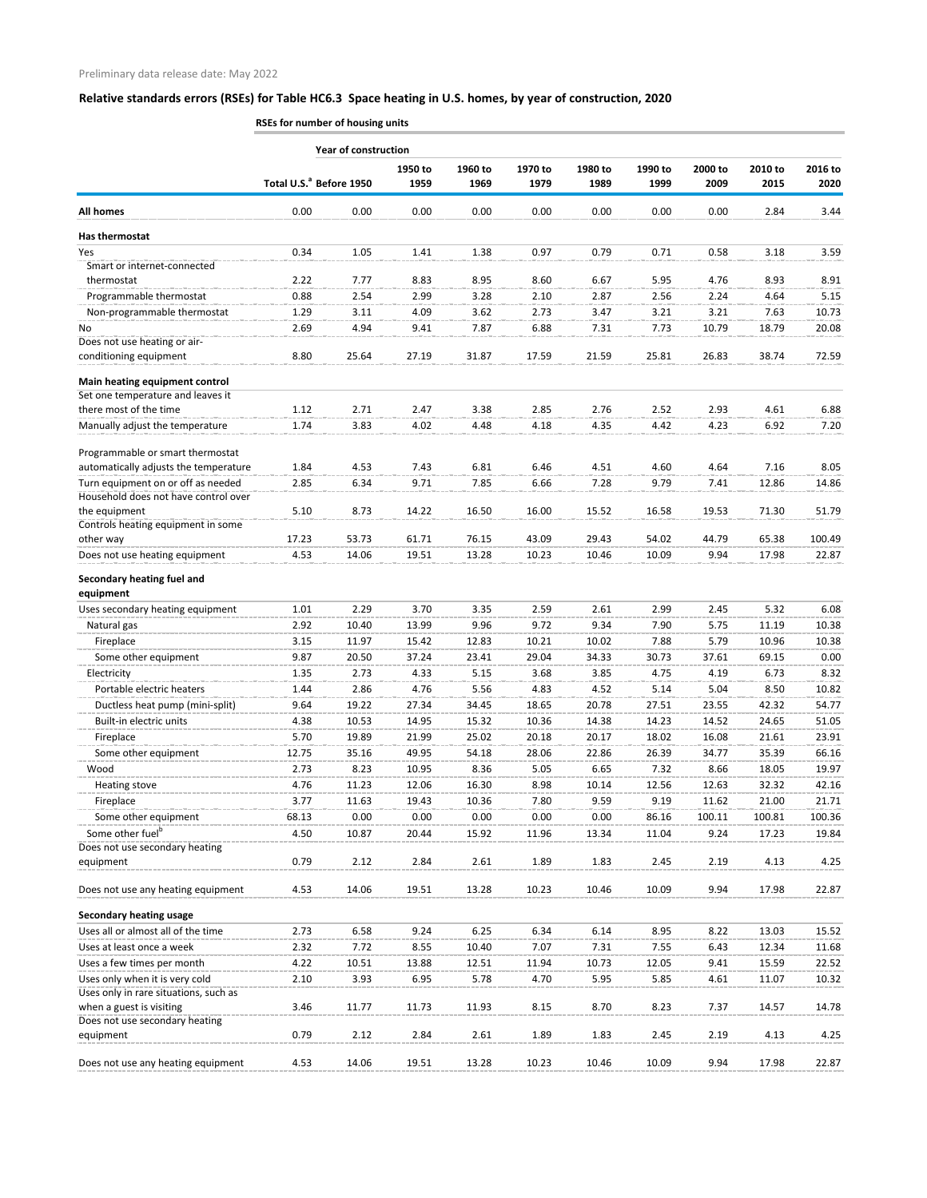**RSEs for number of housing units**

|                                                                         |       | <b>Year of construction</b>         |                 |                 |                 |                 |                 |                 |                 |                 |
|-------------------------------------------------------------------------|-------|-------------------------------------|-----------------|-----------------|-----------------|-----------------|-----------------|-----------------|-----------------|-----------------|
|                                                                         |       | Total U.S. <sup>ª</sup> Before 1950 | 1950 to<br>1959 | 1960 to<br>1969 | 1970 to<br>1979 | 1980 to<br>1989 | 1990 to<br>1999 | 2000 to<br>2009 | 2010 to<br>2015 | 2016 to<br>2020 |
| <b>All homes</b>                                                        | 0.00  | 0.00                                | 0.00            | 0.00            | 0.00            | 0.00            | 0.00            | 0.00            | 2.84            | 3.44            |
| Has thermostat                                                          |       |                                     |                 |                 |                 |                 |                 |                 |                 |                 |
| Yes                                                                     | 0.34  | 1.05                                | 1.41            | 1.38            | 0.97            | 0.79            | 0.71            | 0.58            | 3.18            | 3.59            |
| Smart or internet-connected                                             |       |                                     |                 |                 |                 |                 |                 |                 |                 |                 |
| thermostat                                                              | 2.22  | 7.77                                | 8.83            | 8.95            | 8.60            | 6.67            | 5.95            | 4.76            | 8.93            | 8.91            |
| Programmable thermostat                                                 | 0.88  | 2.54                                | 2.99            | 3.28            | 2.10            | 2.87            | 2.56            | 2.24            | 4.64            | 5.15            |
| Non-programmable thermostat                                             | 1.29  | 3.11                                | 4.09            | 3.62            | 2.73            | 3.47            | 3.21            | 3.21            | 7.63            | 10.73           |
| No                                                                      | 2.69  | 4.94                                | 9.41            | 7.87            | 6.88            | 7.31            | 7.73            | 10.79           | 18.79           | 20.08           |
| Does not use heating or air-<br>conditioning equipment                  | 8.80  | 25.64                               | 27.19           | 31.87           | 17.59           | 21.59           | 25.81           | 26.83           | 38.74           | 72.59           |
| Main heating equipment control                                          |       |                                     |                 |                 |                 |                 |                 |                 |                 |                 |
| Set one temperature and leaves it                                       |       |                                     |                 |                 |                 |                 |                 |                 |                 |                 |
| there most of the time                                                  | 1.12  | 2.71                                | 2.47            | 3.38            | 2.85            | 2.76            | 2.52            | 2.93            | 4.61            | 6.88            |
| Manually adjust the temperature                                         | 1.74  | 3.83                                | 4.02            | 4.48            | 4.18            | 4.35            | 4.42            | 4.23            | 6.92            | 7.20            |
| Programmable or smart thermostat                                        |       |                                     |                 |                 |                 |                 |                 |                 |                 |                 |
| automatically adjusts the temperature                                   | 1.84  | 4.53                                | 7.43            | 6.81            | 6.46            | 4.51            | 4.60            | 4.64            | 7.16            | 8.05            |
| Turn equipment on or off as needed                                      | 2.85  | 6.34                                | 9.71            | 7.85            | 6.66            | 7.28            | 9.79            | 7.41            | 12.86           | 14.86           |
| Household does not have control over<br>the equipment                   | 5.10  | 8.73                                | 14.22           | 16.50           | 16.00           | 15.52           | 16.58           | 19.53           | 71.30           | 51.79           |
| Controls heating equipment in some                                      |       |                                     |                 |                 |                 |                 |                 |                 |                 |                 |
| other way                                                               | 17.23 | 53.73                               | 61.71           | 76.15           | 43.09           | 29.43           | 54.02           | 44.79           | 65.38           | 100.49          |
| Does not use heating equipment                                          | 4.53  | 14.06                               | 19.51           | 13.28           | 10.23           | 10.46           | 10.09           | 9.94            | 17.98           | 22.87           |
| Secondary heating fuel and<br>equipment                                 |       |                                     |                 |                 |                 |                 |                 |                 |                 |                 |
| Uses secondary heating equipment                                        | 1.01  | 2.29                                | 3.70            | 3.35            | 2.59            | 2.61            | 2.99            | 2.45            | 5.32            | 6.08            |
| Natural gas                                                             | 2.92  | 10.40                               | 13.99           | 9.96            | 9.72            | 9.34            | 7.90            | 5.75            | 11.19           | 10.38           |
| Fireplace                                                               | 3.15  | 11.97                               | 15.42           | 12.83           | 10.21           | 10.02           | 7.88            | 5.79            | 10.96           | 10.38           |
| Some other equipment                                                    | 9.87  | 20.50                               | 37.24           | 23.41           | 29.04           | 34.33           | 30.73           | 37.61           | 69.15           | 0.00            |
| Electricity                                                             | 1.35  | 2.73                                | 4.33            | 5.15            | 3.68            | 3.85            | 4.75            | 4.19            | 6.73            | 8.32            |
| Portable electric heaters                                               | 1.44  | 2.86                                | 4.76            | 5.56            | 4.83            | 4.52            | 5.14            | 5.04            | 8.50            | 10.82           |
| Ductless heat pump (mini-split)                                         | 9.64  | 19.22                               | 27.34           | 34.45           | 18.65           | 20.78           | 27.51           | 23.55           | 42.32           | 54.77           |
| Built-in electric units                                                 | 4.38  | 10.53                               | 14.95           | 15.32           | 10.36           | 14.38           | 14.23           | 14.52           | 24.65           | 51.05           |
| Fireplace                                                               | 5.70  | 19.89                               | 21.99           | 25.02           | 20.18           | 20.17           | 18.02           | 16.08           | 21.61           | 23.91           |
| Some other equipment                                                    | 12.75 | 35.16                               | 49.95           | 54.18           | 28.06           | 22.86           | 26.39           | 34.77           | 35.39           | 66.16           |
| Wood                                                                    | 2.73  | 8.23                                | 10.95           | 8.36            | 5.05            | 6.65            | 7.32            | 8.66            | 18.05           | 19.97           |
| <b>Heating stove</b>                                                    | 4.76  | 11.23                               | 12.06           | 16.30           | 8.98            | 10.14           | 12.56           | 12.63           | 32.32           | 42.16           |
| Fireplace                                                               | 3.77  | 11.63                               | 19.43           | 10.36           | 7.80            | 9.59            | 9.19            | 11.62           | 21.00           | 21.71           |
| Some other equipment                                                    | 68.13 | 0.00                                | 0.00            | 0.00            | 0.00            | 0.00            | 86.16           | 100.11          | 100.81          | 100.36          |
| Some other fuel <sup>b</sup><br>Does not use secondary heating          | 4.50  | 10.87                               | 20.44           | 15.92           | 11.96           | 13.34           | 11.04           | 9.24            | 17.23           | 19.84           |
| equipment                                                               | 0.79  | 2.12                                | 2.84            | 2.61            | 1.89            | 1.83            | 2.45            | 2.19            | 4.13            | 4.25            |
| Does not use any heating equipment                                      | 4.53  | 14.06                               | 19.51           | 13.28           | 10.23           | 10.46           | 10.09           | 9.94            | 17.98           | 22.87           |
| <b>Secondary heating usage</b>                                          |       |                                     |                 |                 |                 |                 |                 |                 |                 |                 |
| Uses all or almost all of the time                                      | 2.73  | 6.58                                | 9.24            | 6.25            | 6.34            | 6.14            | 8.95            | 8.22            | 13.03           | 15.52           |
| Uses at least once a week                                               | 2.32  | 7.72                                | 8.55            | 10.40           | 7.07            | 7.31            | 7.55            | 6.43            | 12.34           | 11.68           |
| Uses a few times per month                                              | 4.22  | 10.51                               | 13.88           | 12.51           | 11.94           | 10.73           | 12.05           | 9.41            | 15.59           | 22.52           |
| Uses only when it is very cold<br>Uses only in rare situations, such as | 2.10  | 3.93                                | 6.95            | 5.78            | 4.70            | 5.95            | 5.85            | 4.61            | 11.07           | 10.32           |
| when a guest is visiting<br>Does not use secondary heating              | 3.46  | 11.77                               | 11.73           | 11.93           | 8.15            | 8.70            | 8.23            | 7.37            | 14.57           | 14.78           |
| equipment                                                               | 0.79  | 2.12                                | 2.84            | 2.61            | 1.89            | 1.83            | 2.45            | 2.19            | 4.13            | 4.25            |
| Does not use any heating equipment                                      | 4.53  | 14.06                               | 19.51           | 13.28           | 10.23           | 10.46           | 10.09           | 9.94            | 17.98           | 22.87           |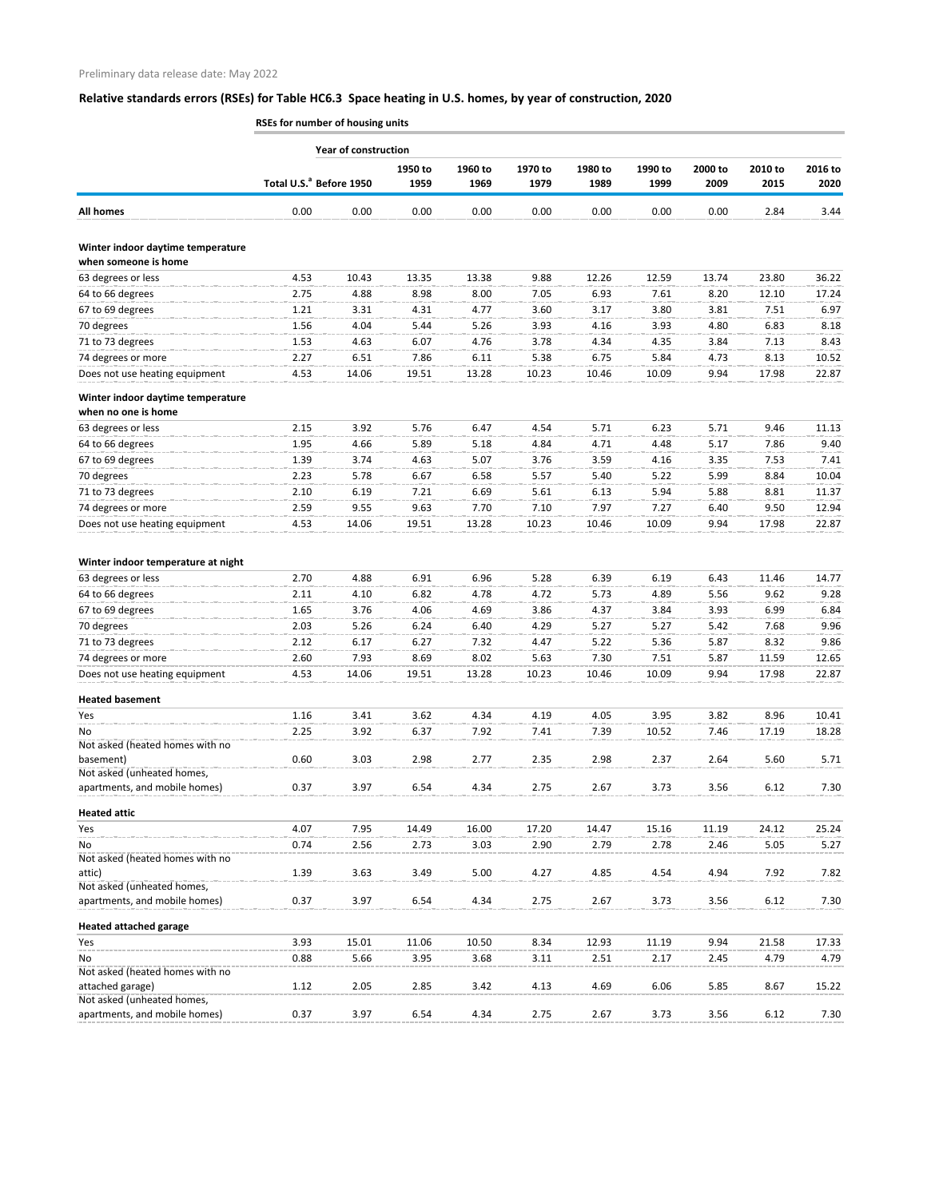**RSEs for number of housing units**

|                                                             |                                     | <b>Year of construction</b> |                 |                 |                 |                 |                 |                 |                 |                 |  |  |  |
|-------------------------------------------------------------|-------------------------------------|-----------------------------|-----------------|-----------------|-----------------|-----------------|-----------------|-----------------|-----------------|-----------------|--|--|--|
|                                                             | Total U.S. <sup>a</sup> Before 1950 |                             | 1950 to<br>1959 | 1960 to<br>1969 | 1970 to<br>1979 | 1980 to<br>1989 | 1990 to<br>1999 | 2000 to<br>2009 | 2010 to<br>2015 | 2016 to<br>2020 |  |  |  |
| All homes                                                   | 0.00                                | 0.00                        | 0.00            | 0.00            | 0.00            | 0.00            | 0.00            | 0.00            | 2.84            | 3.44            |  |  |  |
| Winter indoor daytime temperature<br>when someone is home   |                                     |                             |                 |                 |                 |                 |                 |                 |                 |                 |  |  |  |
| 63 degrees or less                                          | 4.53                                | 10.43                       | 13.35           | 13.38           | 9.88            | 12.26           | 12.59           | 13.74           | 23.80           | 36.22           |  |  |  |
| 64 to 66 degrees                                            | 2.75                                | 4.88                        | 8.98            | 8.00            | 7.05            | 6.93            | 7.61            | 8.20            | 12.10           | 17.24           |  |  |  |
| 67 to 69 degrees                                            | 1.21                                | 3.31                        | 4.31            | 4.77            | 3.60            | 3.17            | 3.80            | 3.81            | 7.51            | 6.97            |  |  |  |
| 70 degrees                                                  | 1.56                                | 4.04                        | 5.44            | 5.26            | 3.93            | 4.16            | 3.93            | 4.80            | 6.83            | 8.18            |  |  |  |
| 71 to 73 degrees                                            | 1.53                                | 4.63                        | 6.07            | 4.76            | 3.78            | 4.34            | 4.35            | 3.84            | 7.13            | 8.43            |  |  |  |
| 74 degrees or more                                          | 2.27                                | 6.51                        | 7.86            | 6.11            | 5.38            | 6.75            | 5.84            | 4.73            | 8.13            | 10.52           |  |  |  |
| Does not use heating equipment                              | 4.53                                | 14.06                       | 19.51           | 13.28           | 10.23           | 10.46           | 10.09           | 9.94            | 17.98           | 22.87           |  |  |  |
| Winter indoor daytime temperature                           |                                     |                             |                 |                 |                 |                 |                 |                 |                 |                 |  |  |  |
| when no one is home                                         |                                     |                             |                 |                 |                 |                 |                 |                 |                 |                 |  |  |  |
| 63 degrees or less                                          | 2.15                                | 3.92                        | 5.76            | 6.47            | 4.54            | 5.71            | 6.23            | 5.71            | 9.46            | 11.13           |  |  |  |
| 64 to 66 degrees                                            | 1.95                                | 4.66                        | 5.89            | 5.18            | 4.84            | 4.71            | 4.48            | 5.17            | 7.86            | 9.40            |  |  |  |
| 67 to 69 degrees                                            | 1.39                                | 3.74                        | 4.63            | 5.07            | 3.76            | 3.59            | 4.16            | 3.35            | 7.53            | 7.41            |  |  |  |
| 70 degrees                                                  | 2.23                                | 5.78                        | 6.67            | 6.58            | 5.57            | 5.40            | 5.22            | 5.99            | 8.84            | 10.04           |  |  |  |
| 71 to 73 degrees                                            | 2.10                                | 6.19                        | 7.21            | 6.69            | 5.61            | 6.13            | 5.94            | 5.88            | 8.81            | 11.37           |  |  |  |
| 74 degrees or more                                          | 2.59                                | 9.55                        | 9.63            | 7.70            | 7.10            | 7.97            | 7.27            | 6.40            | 9.50            | 12.94           |  |  |  |
| Does not use heating equipment                              | 4.53                                | 14.06                       | 19.51           | 13.28           | 10.23           | 10.46           | 10.09           | 9.94            | 17.98           | 22.87           |  |  |  |
| Winter indoor temperature at night                          |                                     |                             |                 |                 |                 |                 |                 |                 |                 |                 |  |  |  |
| 63 degrees or less                                          | 2.70                                | 4.88                        | 6.91            | 6.96            | 5.28            | 6.39            | 6.19            | 6.43            | 11.46           | 14.77           |  |  |  |
| 64 to 66 degrees                                            | 2.11                                | 4.10                        | 6.82            | 4.78            | 4.72            | 5.73            | 4.89            | 5.56            | 9.62            | 9.28            |  |  |  |
| 67 to 69 degrees                                            | 1.65                                | 3.76                        | 4.06            | 4.69            | 3.86            | 4.37            | 3.84            | 3.93            | 6.99            | 6.84            |  |  |  |
| 70 degrees                                                  | 2.03                                | 5.26                        | 6.24            | 6.40            | 4.29            | 5.27            | 5.27            | 5.42            | 7.68            | 9.96            |  |  |  |
| 71 to 73 degrees                                            | 2.12                                | 6.17                        | 6.27            | 7.32            | 4.47            | 5.22            | 5.36            | 5.87            | 8.32            | 9.86            |  |  |  |
| 74 degrees or more                                          | 2.60                                | 7.93                        | 8.69            | 8.02            | 5.63            | 7.30            | 7.51            | 5.87            | 11.59           | 12.65           |  |  |  |
| Does not use heating equipment                              | 4.53                                | 14.06                       | 19.51           | 13.28           | 10.23           | 10.46           | 10.09           | 9.94            | 17.98           | 22.87           |  |  |  |
| <b>Heated basement</b>                                      |                                     |                             |                 |                 |                 |                 |                 |                 |                 |                 |  |  |  |
| Yes                                                         | 1.16                                | 3.41                        | 3.62            | 4.34            | 4.19            | 4.05            | 3.95            | 3.82            | 8.96            | 10.41           |  |  |  |
| No                                                          | 2.25                                | 3.92                        | 6.37            | 7.92            | 7.41            | 7.39            | 10.52           | 7.46            | 17.19           | 18.28           |  |  |  |
| Not asked (heated homes with no                             |                                     |                             |                 |                 |                 |                 |                 |                 |                 |                 |  |  |  |
| basement)                                                   | 0.60                                | 3.03                        | 2.98            | 2.77            | 2.35            | 2.98            | 2.37            | 2.64            | 5.60            | 5.71            |  |  |  |
| Not asked (unheated homes,<br>apartments, and mobile homes) | 0.37                                | 3.97                        | 6.54            | 4.34            | 2.75            | 2.67            | 3.73            | 3.56            | 6.12            | 7.30            |  |  |  |
| <b>Heated attic</b>                                         |                                     |                             |                 |                 |                 |                 |                 |                 |                 |                 |  |  |  |
| Yes                                                         | 4.07                                | 7.95                        | 14.49           | 16.00           | 17.20           | 14.47           | 15.16           | 11.19           | 24.12           | 25.24           |  |  |  |
| No                                                          | 0.74                                | 2.56                        | 2.73            | 3.03            | 2.90            | 2.79            | 2.78            | 2.46            | 5.05            | 5.27            |  |  |  |
| Not asked (heated homes with no                             |                                     |                             |                 |                 |                 |                 |                 |                 |                 |                 |  |  |  |
| attic)                                                      | 1.39                                | 3.63                        | 3.49            | 5.00            | 4.27            | 4.85            | 4.54            | 4.94            | 7.92            | 7.82            |  |  |  |
| Not asked (unheated homes,                                  |                                     |                             |                 |                 |                 |                 |                 |                 |                 |                 |  |  |  |
| apartments, and mobile homes)                               | 0.37                                | 3.97                        | 6.54            | 4.34            | 2.75            | 2.67            | 3.73            | 3.56            | 6.12            | 7.30            |  |  |  |
| <b>Heated attached garage</b>                               |                                     |                             |                 |                 |                 |                 |                 |                 |                 |                 |  |  |  |
| Yes                                                         | 3.93                                | 15.01                       | 11.06           | 10.50           | 8.34            | 12.93           | 11.19           | 9.94            | 21.58           | 17.33           |  |  |  |
| No<br>Not asked (heated homes with no                       | 0.88                                | 5.66                        | 3.95            | 3.68            | 3.11            | 2.51            | 2.17            | 2.45            | 4.79            | 4.79            |  |  |  |
| attached garage)                                            | 1.12                                | 2.05                        | 2.85            | 3.42            | 4.13            | 4.69            | 6.06            | 5.85            | 8.67            | 15.22           |  |  |  |
| Not asked (unheated homes,                                  |                                     |                             |                 |                 |                 |                 |                 |                 |                 |                 |  |  |  |
| apartments, and mobile homes)                               | 0.37                                | 3.97                        | 6.54            | 4.34            | 2.75            | 2.67            | 3.73            | 3.56            | 6.12            | 7.30            |  |  |  |